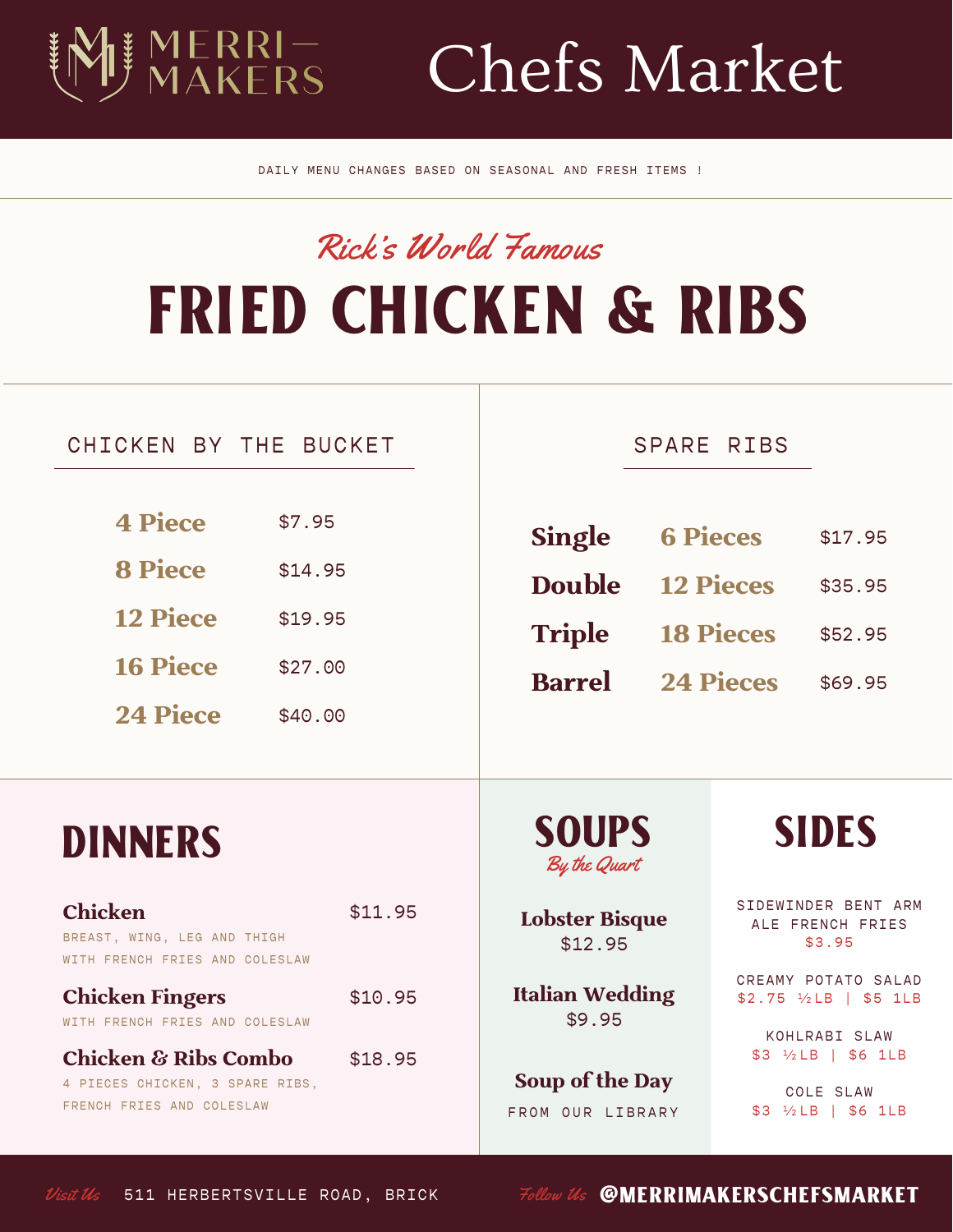# Chefs Market

DAILY MENU CHANGES BASED ON SEASONAL AND FRESH ITEMS !

## FRIED CHICKEN & RIBS Rick's World Famous

#### CHICKEN BY THE BUCKET  $\overline{a}$

MERRI—<br>MAKFRS

| <b>4 Piece</b>  | \$7.95  |
|-----------------|---------|
| <b>8 Piece</b>  | \$14.95 |
| <b>12 Piece</b> | \$19.95 |
| <b>16 Piece</b> | \$27.00 |
| <b>24 Piece</b> | \$40.00 |

#### SPARE RIBS

| <b>Single</b> | <b>6 Pieces</b>  | \$17.95 |
|---------------|------------------|---------|
| <b>Double</b> | <b>12 Pieces</b> | \$35.95 |
| <b>Triple</b> | <b>18 Pieces</b> | \$52.95 |
| <b>Barrel</b> | <b>24 Pieces</b> | \$69.95 |

DINNERS SOUPS SIDES By the Quart

> **Lobster Bisque** \$12.95

**Italian Wedding** \$9.95

**Soup of the Day** FROM OUR LIBRARY

SIDEWINDER BENT ARM ALE FRENCH FRIES \$3.95

CREAMY POTATO SALAD \$2.75 ½LB | \$5 1LB

KOHLRABI SLAW \$3 ½LB | \$6 1LB

COLE SLAW \$3 ½LB | \$6 1LB

WITH FRENCH FRIES AND COLESLAW **Chicken Fingers** WITH FRENCH FRIES AND COLESLAW **Chicken & Ribs Combo** 4 PIECES CHICKEN, 3 SPARE RIBS, FRENCH FRIES AND COLESLAW \$10.95 \$18.95

\$11.95

**Chicken**

BREAST, WING, LEG AND THIGH